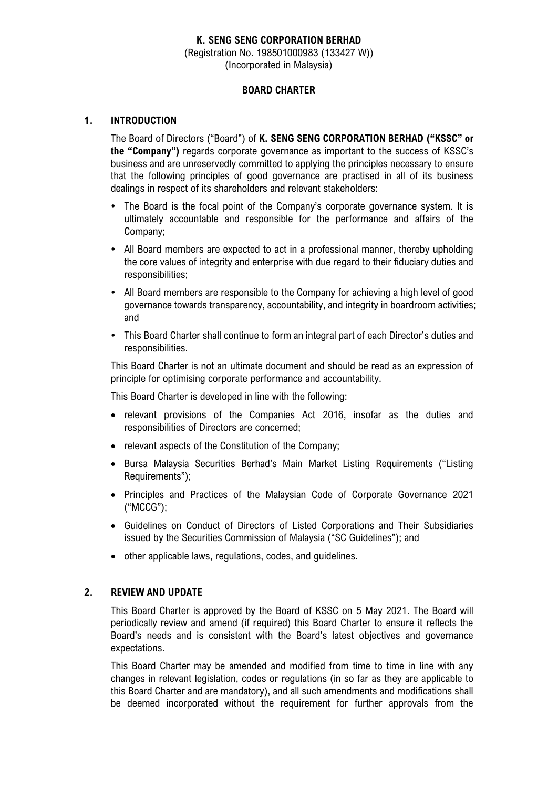# **K. SENG SENG CORPORATION BERHAD** (Registration No. 198501000983 (133427 W)) (Incorporated in Malaysia)

# **BOARD CHARTER**

# **1. INTRODUCTION**

The Board of Directors ("Board") of **K. SENG SENG CORPORATION BERHAD ("KSSC" or the "Company")** regards corporate governance as important to the success of KSSC's business and are unreservedly committed to applying the principles necessary to ensure that the following principles of good governance are practised in all of its business dealings in respect of its shareholders and relevant stakeholders:

- The Board is the focal point of the Company's corporate governance system. It is ultimately accountable and responsible for the performance and affairs of the Company;
- All Board members are expected to act in a professional manner, thereby upholding the core values of integrity and enterprise with due regard to their fiduciary duties and responsibilities;
- All Board members are responsible to the Company for achieving a high level of good governance towards transparency, accountability, and integrity in boardroom activities; and
- This Board Charter shall continue to form an integral part of each Director's duties and responsibilities.

This Board Charter is not an ultimate document and should be read as an expression of principle for optimising corporate performance and accountability.

This Board Charter is developed in line with the following:

- relevant provisions of the Companies Act 2016, insofar as the duties and responsibilities of Directors are concerned;
- relevant aspects of the Constitution of the Company;
- Bursa Malaysia Securities Berhad's Main Market Listing Requirements ("Listing Requirements");
- Principles and Practices of the Malaysian Code of Corporate Governance 2021 ("MCCG");
- Guidelines on Conduct of Directors of Listed Corporations and Their Subsidiaries issued by the Securities Commission of Malaysia ("SC Guidelines"); and
- other applicable laws, regulations, codes, and guidelines.

## **2. REVIEW AND UPDATE**

This Board Charter is approved by the Board of KSSC on 5 May 2021. The Board will periodically review and amend (if required) this Board Charter to ensure it reflects the Board's needs and is consistent with the Board's latest objectives and governance expectations.

This Board Charter may be amended and modified from time to time in line with any changes in relevant legislation, codes or regulations (in so far as they are applicable to this Board Charter and are mandatory), and all such amendments and modifications shall be deemed incorporated without the requirement for further approvals from the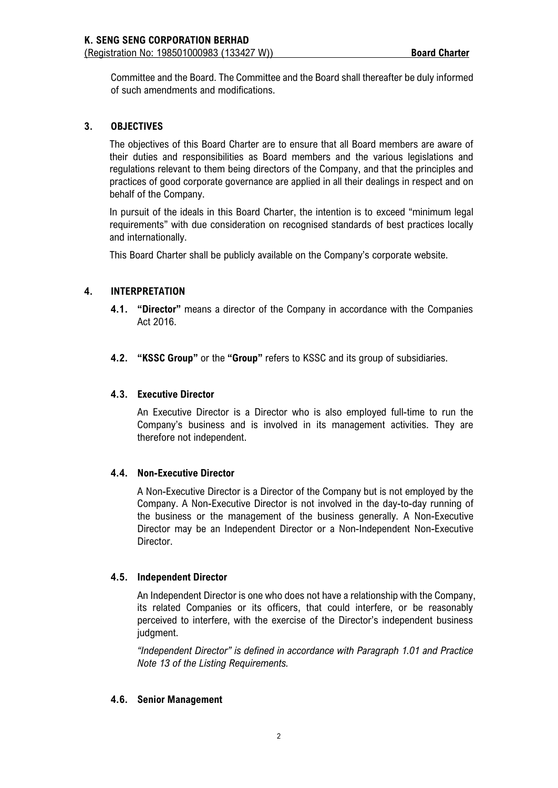Committee and the Board. The Committee and the Board shall thereafter be duly informed of such amendments and modifications.

# **3. OBJECTIVES**

The objectives of this Board Charter are to ensure that all Board members are aware of their duties and responsibilities as Board members and the various legislations and regulations relevant to them being directors of the Company, and that the principles and practices of good corporate governance are applied in all their dealings in respect and on behalf of the Company.

In pursuit of the ideals in this Board Charter, the intention is to exceed "minimum legal requirements" with due consideration on recognised standards of best practices locally and internationally.

This Board Charter shall be publicly available on the Company's corporate website.

# **4. INTERPRETATION**

- **4.1. "Director"** means a director of the Company in accordance with the Companies Act 2016.
- **4.2. "KSSC Group"** or the **"Group"** refers to KSSC and its group of subsidiaries.

## **4.3. Executive Director**

An Executive Director is a Director who is also employed full-time to run the Company's business and is involved in its management activities. They are therefore not independent.

### **4.4. Non-Executive Director**

A Non-Executive Director is a Director of the Company but is not employed by the Company. A Non-Executive Director is not involved in the day-to-day running of the business or the management of the business generally. A Non-Executive Director may be an Independent Director or a Non-Independent Non-Executive Director.

### **4.5. Independent Director**

An Independent Director is one who does not have a relationship with the Company, its related Companies or its officers, that could interfere, or be reasonably perceived to interfere, with the exercise of the Director's independent business judgment.

*"Independent Director" is defined in accordance with Paragraph 1.01 and Practice Note 13 of the Listing Requirements.*

### **4.6. Senior Management**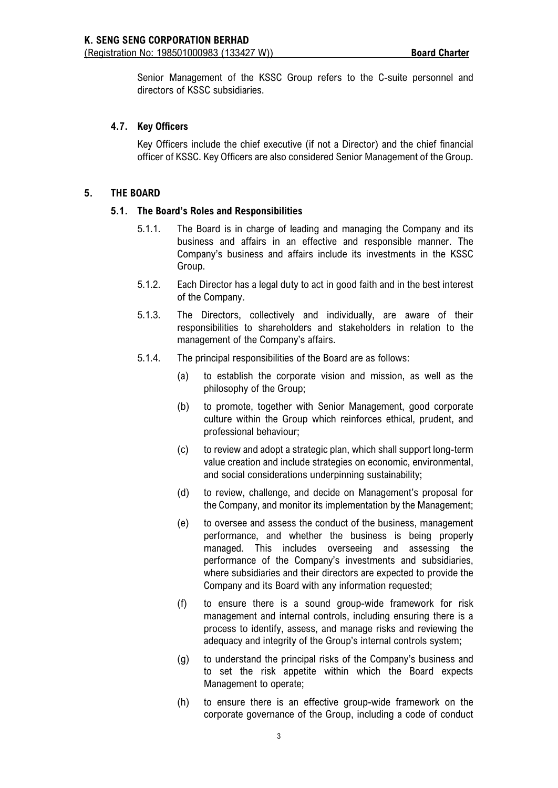Senior Management of the KSSC Group refers to the C-suite personnel and directors of KSSC subsidiaries.

## **4.7. Key Officers**

Key Officers include the chief executive (if not a Director) and the chief financial officer of KSSC. Key Officers are also considered Senior Management of the Group.

## **5. THE BOARD**

### **5.1. The Board's Roles and Responsibilities**

- 5.1.1. The Board is in charge of leading and managing the Company and its business and affairs in an effective and responsible manner. The Company's business and affairs include its investments in the KSSC Group.
- 5.1.2. Each Director has a legal duty to act in good faith and in the best interest of the Company.
- 5.1.3. The Directors, collectively and individually, are aware of their responsibilities to shareholders and stakeholders in relation to the management of the Company's affairs.
- 5.1.4. The principal responsibilities of the Board are as follows:
	- (a) to establish the corporate vision and mission, as well as the philosophy of the Group;
	- (b) to promote, together with Senior Management, good corporate culture within the Group which reinforces ethical, prudent, and professional behaviour;
	- (c) to review and adopt a strategic plan, which shall support long-term value creation and include strategies on economic, environmental, and social considerations underpinning sustainability;
	- (d) to review, challenge, and decide on Management's proposal for the Company, and monitor its implementation by the Management;
	- (e) to oversee and assess the conduct of the business, management performance, and whether the business is being properly managed. This includes overseeing and assessing the performance of the Company's investments and subsidiaries, where subsidiaries and their directors are expected to provide the Company and its Board with any information requested;
	- (f) to ensure there is a sound group-wide framework for risk management and internal controls, including ensuring there is a process to identify, assess, and manage risks and reviewing the adequacy and integrity of the Group's internal controls system;
	- (g) to understand the principal risks of the Company's business and to set the risk appetite within which the Board expects Management to operate;
	- (h) to ensure there is an effective group-wide framework on the corporate governance of the Group, including a code of conduct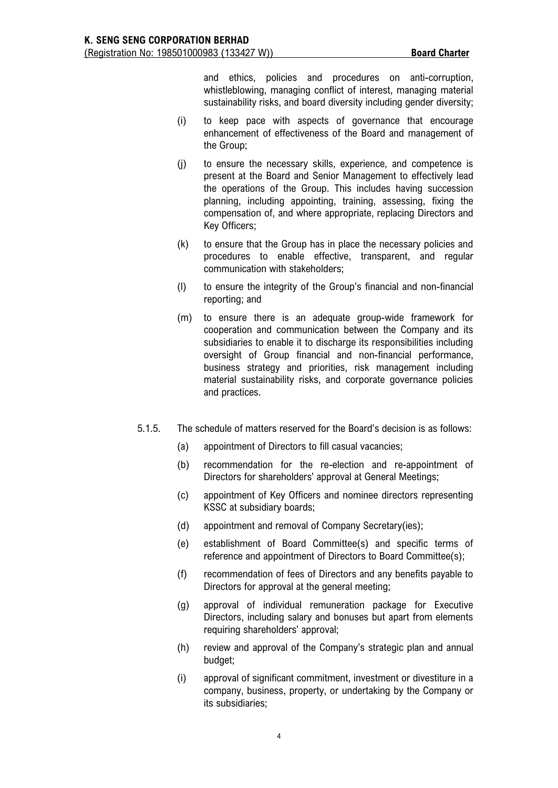and ethics, policies and procedures on anti-corruption, whistleblowing, managing conflict of interest, managing material sustainability risks, and board diversity including gender diversity;

- (i) to keep pace with aspects of governance that encourage enhancement of effectiveness of the Board and management of the Group;
- (j) to ensure the necessary skills, experience, and competence is present at the Board and Senior Management to effectively lead the operations of the Group. This includes having succession planning, including appointing, training, assessing, fixing the compensation of, and where appropriate, replacing Directors and Key Officers;
- (k) to ensure that the Group has in place the necessary policies and procedures to enable effective, transparent, and regular communication with stakeholders;
- (l) to ensure the integrity of the Group's financial and non-financial reporting; and
- (m) to ensure there is an adequate group-wide framework for cooperation and communication between the Company and its subsidiaries to enable it to discharge its responsibilities including oversight of Group financial and non-financial performance, business strategy and priorities, risk management including material sustainability risks, and corporate governance policies and practices.
- 5.1.5. The schedule of matters reserved for the Board's decision is as follows:
	- (a) appointment of Directors to fill casual vacancies;
	- (b) recommendation for the re-election and re-appointment of Directors for shareholders' approval at General Meetings;
	- (c) appointment of Key Officers and nominee directors representing KSSC at subsidiary boards;
	- (d) appointment and removal of Company Secretary(ies);
	- (e) establishment of Board Committee(s) and specific terms of reference and appointment of Directors to Board Committee(s);
	- (f) recommendation of fees of Directors and any benefits payable to Directors for approval at the general meeting;
	- (g) approval of individual remuneration package for Executive Directors, including salary and bonuses but apart from elements requiring shareholders' approval;
	- (h) review and approval of the Company's strategic plan and annual budget;
	- (i) approval of significant commitment, investment or divestiture in a company, business, property, or undertaking by the Company or its subsidiaries;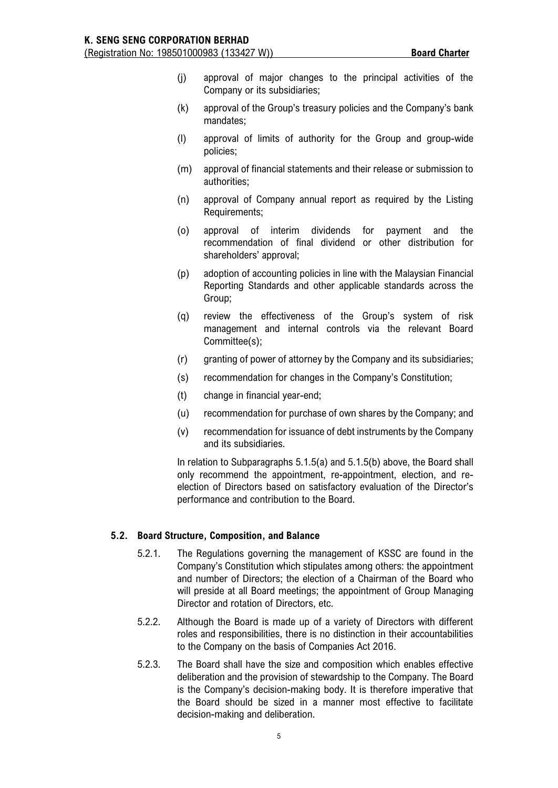- (j) approval of major changes to the principal activities of the Company or its subsidiaries;
- (k) approval of the Group's treasury policies and the Company's bank mandates;
- (l) approval of limits of authority for the Group and group-wide policies;
- (m) approval of financial statements and their release or submission to authorities;
- (n) approval of Company annual report as required by the Listing Requirements;
- (o) approval of interim dividends for payment and the recommendation of final dividend or other distribution for shareholders' approval;
- (p) adoption of accounting policies in line with the Malaysian Financial Reporting Standards and other applicable standards across the Group;
- (q) review the effectiveness of the Group's system of risk management and internal controls via the relevant Board Committee(s);
- (r) granting of power of attorney by the Company and its subsidiaries;
- (s) recommendation for changes in the Company's Constitution;
- (t) change in financial year-end;
- (u) recommendation for purchase of own shares by the Company; and
- (v) recommendation for issuance of debt instruments by the Company and its subsidiaries.

In relation to Subparagraphs 5.1.5(a) and 5.1.5(b) above, the Board shall only recommend the appointment, re-appointment, election, and reelection of Directors based on satisfactory evaluation of the Director's performance and contribution to the Board.

### **5.2. Board Structure, Composition, and Balance**

- 5.2.1. The Regulations governing the management of KSSC are found in the Company's Constitution which stipulates among others: the appointment and number of Directors; the election of a Chairman of the Board who will preside at all Board meetings; the appointment of Group Managing Director and rotation of Directors, etc.
- 5.2.2. Although the Board is made up of a variety of Directors with different roles and responsibilities, there is no distinction in their accountabilities to the Company on the basis of Companies Act 2016.
- 5.2.3. The Board shall have the size and composition which enables effective deliberation and the provision of stewardship to the Company. The Board is the Company's decision-making body. It is therefore imperative that the Board should be sized in a manner most effective to facilitate decision-making and deliberation.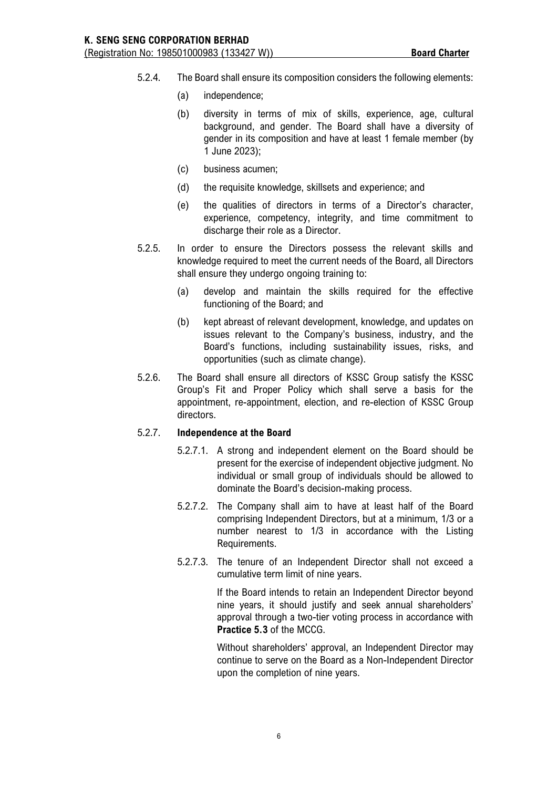- 5.2.4. The Board shall ensure its composition considers the following elements:
	- (a) independence;
	- (b) diversity in terms of mix of skills, experience, age, cultural background, and gender. The Board shall have a diversity of gender in its composition and have at least 1 female member (by 1 June 2023);
	- (c) business acumen;
	- (d) the requisite knowledge, skillsets and experience; and
	- (e) the qualities of directors in terms of a Director's character, experience, competency, integrity, and time commitment to discharge their role as a Director.
- 5.2.5. In order to ensure the Directors possess the relevant skills and knowledge required to meet the current needs of the Board, all Directors shall ensure they undergo ongoing training to:
	- (a) develop and maintain the skills required for the effective functioning of the Board; and
	- (b) kept abreast of relevant development, knowledge, and updates on issues relevant to the Company's business, industry, and the Board's functions, including sustainability issues, risks, and opportunities (such as climate change).
- 5.2.6. The Board shall ensure all directors of KSSC Group satisfy the KSSC Group's Fit and Proper Policy which shall serve a basis for the appointment, re-appointment, election, and re-election of KSSC Group directors.

### 5.2.7. **Independence at the Board**

- 5.2.7.1. A strong and independent element on the Board should be present for the exercise of independent objective judgment. No individual or small group of individuals should be allowed to dominate the Board's decision-making process.
- 5.2.7.2. The Company shall aim to have at least half of the Board comprising Independent Directors, but at a minimum, 1/3 or a number nearest to 1/3 in accordance with the Listing Requirements.
- 5.2.7.3. The tenure of an Independent Director shall not exceed a cumulative term limit of nine years.

If the Board intends to retain an Independent Director beyond nine years, it should justify and seek annual shareholders' approval through a two-tier voting process in accordance with **Practice 5.3** of the MCCG.

Without shareholders' approval, an Independent Director may continue to serve on the Board as a Non-Independent Director upon the completion of nine years.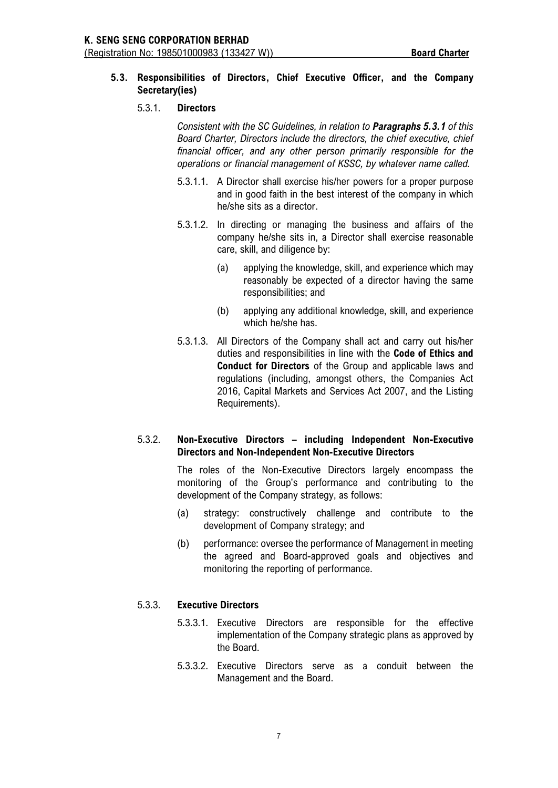# **5.3. Responsibilities of Directors, Chief Executive Officer, and the Company Secretary(ies)**

### 5.3.1. **Directors**

*Consistent with the SC Guidelines, in relation to Paragraphs 5.3.1 of this Board Charter, Directors include the directors, the chief executive, chief financial officer, and any other person primarily responsible for the operations or financial management of KSSC, by whatever name called.*

- 5.3.1.1. A Director shall exercise his/her powers for a proper purpose and in good faith in the best interest of the company in which he/she sits as a director.
- 5.3.1.2. In directing or managing the business and affairs of the company he/she sits in, a Director shall exercise reasonable care, skill, and diligence by:
	- (a) applying the knowledge, skill, and experience which may reasonably be expected of a director having the same responsibilities; and
	- (b) applying any additional knowledge, skill, and experience which he/she has.
- 5.3.1.3. All Directors of the Company shall act and carry out his/her duties and responsibilities in line with the **Code of Ethics and Conduct for Directors** of the Group and applicable laws and regulations (including, amongst others, the Companies Act 2016, Capital Markets and Services Act 2007, and the Listing Requirements).

# 5.3.2. **Non-Executive Directors – including Independent Non-Executive Directors and Non-Independent Non-Executive Directors**

The roles of the Non-Executive Directors largely encompass the monitoring of the Group's performance and contributing to the development of the Company strategy, as follows:

- (a) strategy: constructively challenge and contribute to the development of Company strategy; and
- (b) performance: oversee the performance of Management in meeting the agreed and Board-approved goals and objectives and monitoring the reporting of performance.

### 5.3.3. **Executive Directors**

- 5.3.3.1. Executive Directors are responsible for the effective implementation of the Company strategic plans as approved by the Board.
- 5.3.3.2. Executive Directors serve as a conduit between the Management and the Board.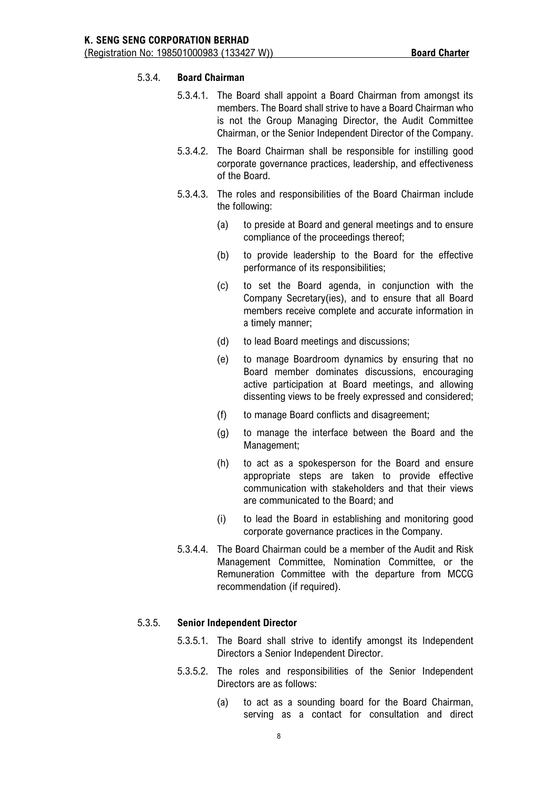# 5.3.4. **Board Chairman**

- 5.3.4.1. The Board shall appoint a Board Chairman from amongst its members. The Board shall strive to have a Board Chairman who is not the Group Managing Director, the Audit Committee Chairman, or the Senior Independent Director of the Company.
- 5.3.4.2. The Board Chairman shall be responsible for instilling good corporate governance practices, leadership, and effectiveness of the Board.
- 5.3.4.3. The roles and responsibilities of the Board Chairman include the following:
	- (a) to preside at Board and general meetings and to ensure compliance of the proceedings thereof;
	- (b) to provide leadership to the Board for the effective performance of its responsibilities;
	- (c) to set the Board agenda, in conjunction with the Company Secretary(ies), and to ensure that all Board members receive complete and accurate information in a timely manner;
	- (d) to lead Board meetings and discussions;
	- (e) to manage Boardroom dynamics by ensuring that no Board member dominates discussions, encouraging active participation at Board meetings, and allowing dissenting views to be freely expressed and considered;
	- (f) to manage Board conflicts and disagreement;
	- (g) to manage the interface between the Board and the Management;
	- (h) to act as a spokesperson for the Board and ensure appropriate steps are taken to provide effective communication with stakeholders and that their views are communicated to the Board; and
	- (i) to lead the Board in establishing and monitoring good corporate governance practices in the Company.
- 5.3.4.4. The Board Chairman could be a member of the Audit and Risk Management Committee, Nomination Committee, or the Remuneration Committee with the departure from MCCG recommendation (if required).

### 5.3.5. **Senior Independent Director**

- 5.3.5.1. The Board shall strive to identify amongst its Independent Directors a Senior Independent Director.
- 5.3.5.2. The roles and responsibilities of the Senior Independent Directors are as follows:
	- (a) to act as a sounding board for the Board Chairman, serving as a contact for consultation and direct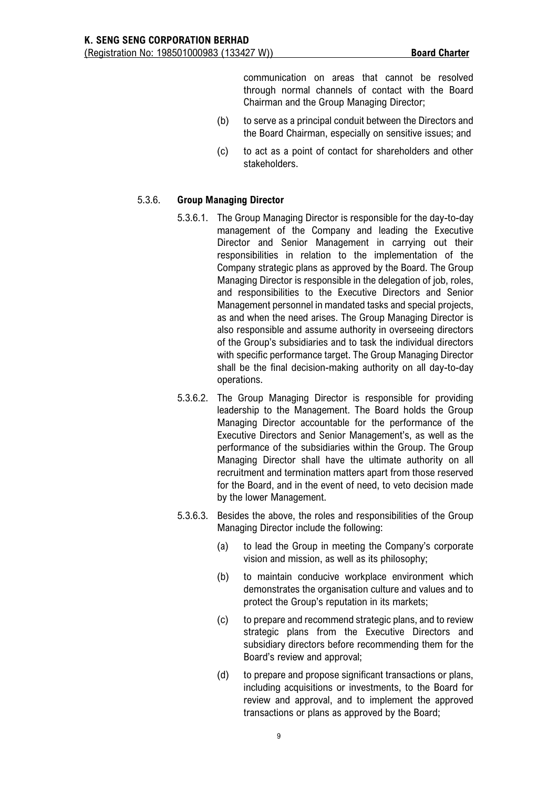communication on areas that cannot be resolved through normal channels of contact with the Board Chairman and the Group Managing Director;

- (b) to serve as a principal conduit between the Directors and the Board Chairman, especially on sensitive issues; and
- (c) to act as a point of contact for shareholders and other stakeholders.

# 5.3.6. **Group Managing Director**

- 5.3.6.1. The Group Managing Director is responsible for the day-to-day management of the Company and leading the Executive Director and Senior Management in carrying out their responsibilities in relation to the implementation of the Company strategic plans as approved by the Board. The Group Managing Director is responsible in the delegation of job, roles, and responsibilities to the Executive Directors and Senior Management personnel in mandated tasks and special projects, as and when the need arises. The Group Managing Director is also responsible and assume authority in overseeing directors of the Group's subsidiaries and to task the individual directors with specific performance target. The Group Managing Director shall be the final decision-making authority on all day-to-day operations.
- 5.3.6.2. The Group Managing Director is responsible for providing leadership to the Management. The Board holds the Group Managing Director accountable for the performance of the Executive Directors and Senior Management's, as well as the performance of the subsidiaries within the Group. The Group Managing Director shall have the ultimate authority on all recruitment and termination matters apart from those reserved for the Board, and in the event of need, to veto decision made by the lower Management.
- 5.3.6.3. Besides the above, the roles and responsibilities of the Group Managing Director include the following:
	- (a) to lead the Group in meeting the Company's corporate vision and mission, as well as its philosophy;
	- (b) to maintain conducive workplace environment which demonstrates the organisation culture and values and to protect the Group's reputation in its markets;
	- (c) to prepare and recommend strategic plans, and to review strategic plans from the Executive Directors and subsidiary directors before recommending them for the Board's review and approval;
	- (d) to prepare and propose significant transactions or plans, including acquisitions or investments, to the Board for review and approval, and to implement the approved transactions or plans as approved by the Board;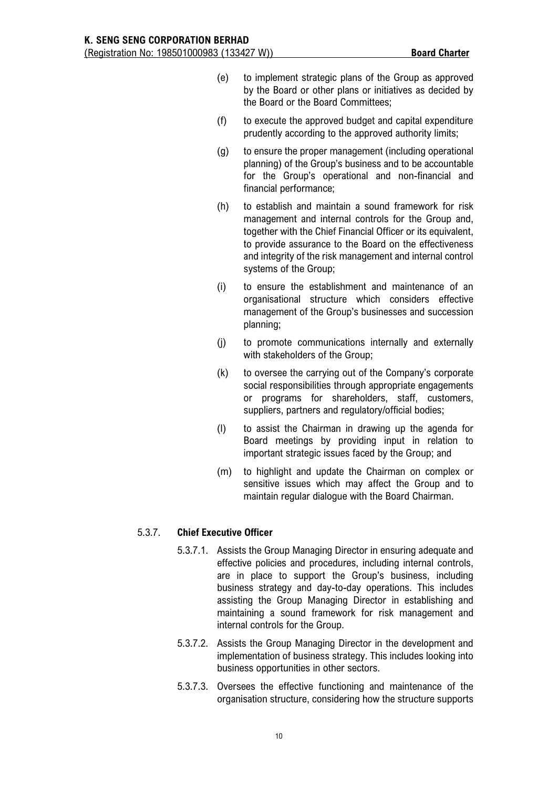- (e) to implement strategic plans of the Group as approved by the Board or other plans or initiatives as decided by the Board or the Board Committees;
- (f) to execute the approved budget and capital expenditure prudently according to the approved authority limits;
- (g) to ensure the proper management (including operational planning) of the Group's business and to be accountable for the Group's operational and non-financial and financial performance;
- (h) to establish and maintain a sound framework for risk management and internal controls for the Group and, together with the Chief Financial Officer or its equivalent, to provide assurance to the Board on the effectiveness and integrity of the risk management and internal control systems of the Group;
- (i) to ensure the establishment and maintenance of an organisational structure which considers effective management of the Group's businesses and succession planning;
- (j) to promote communications internally and externally with stakeholders of the Group;
- (k) to oversee the carrying out of the Company's corporate social responsibilities through appropriate engagements or programs for shareholders, staff, customers, suppliers, partners and regulatory/official bodies;
- (l) to assist the Chairman in drawing up the agenda for Board meetings by providing input in relation to important strategic issues faced by the Group; and
- (m) to highlight and update the Chairman on complex or sensitive issues which may affect the Group and to maintain regular dialogue with the Board Chairman.

# 5.3.7. **Chief Executive Officer**

- 5.3.7.1. Assists the Group Managing Director in ensuring adequate and effective policies and procedures, including internal controls, are in place to support the Group's business, including business strategy and day-to-day operations. This includes assisting the Group Managing Director in establishing and maintaining a sound framework for risk management and internal controls for the Group.
- 5.3.7.2. Assists the Group Managing Director in the development and implementation of business strategy. This includes looking into business opportunities in other sectors.
- 5.3.7.3. Oversees the effective functioning and maintenance of the organisation structure, considering how the structure supports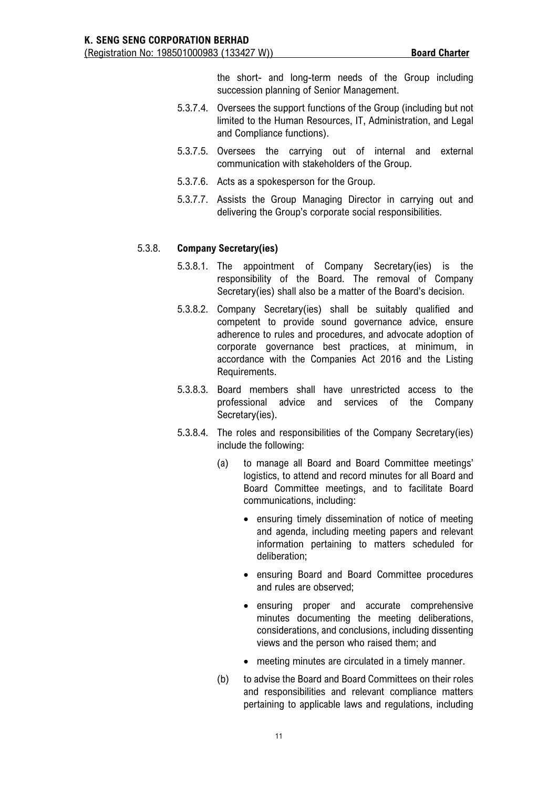the short- and long-term needs of the Group including succession planning of Senior Management.

- 5.3.7.4. Oversees the support functions of the Group (including but not limited to the Human Resources, IT, Administration, and Legal and Compliance functions).
- 5.3.7.5. Oversees the carrying out of internal and external communication with stakeholders of the Group.
- 5.3.7.6. Acts as a spokesperson for the Group.
- 5.3.7.7. Assists the Group Managing Director in carrying out and delivering the Group's corporate social responsibilities.

#### 5.3.8. **Company Secretary(ies)**

- 5.3.8.1. The appointment of Company Secretary(ies) is the responsibility of the Board. The removal of Company Secretary(ies) shall also be a matter of the Board's decision.
- 5.3.8.2. Company Secretary(ies) shall be suitably qualified and competent to provide sound governance advice, ensure adherence to rules and procedures, and advocate adoption of corporate governance best practices, at minimum, in accordance with the Companies Act 2016 and the Listing Requirements.
- 5.3.8.3. Board members shall have unrestricted access to the professional advice and services of the Company Secretary(ies).
- 5.3.8.4. The roles and responsibilities of the Company Secretary(ies) include the following:
	- (a) to manage all Board and Board Committee meetings' logistics, to attend and record minutes for all Board and Board Committee meetings, and to facilitate Board communications, including:
		- ensuring timely dissemination of notice of meeting and agenda, including meeting papers and relevant information pertaining to matters scheduled for deliberation;
		- ensuring Board and Board Committee procedures and rules are observed;
		- ensuring proper and accurate comprehensive minutes documenting the meeting deliberations, considerations, and conclusions, including dissenting views and the person who raised them; and
		- meeting minutes are circulated in a timely manner.
	- (b) to advise the Board and Board Committees on their roles and responsibilities and relevant compliance matters pertaining to applicable laws and regulations, including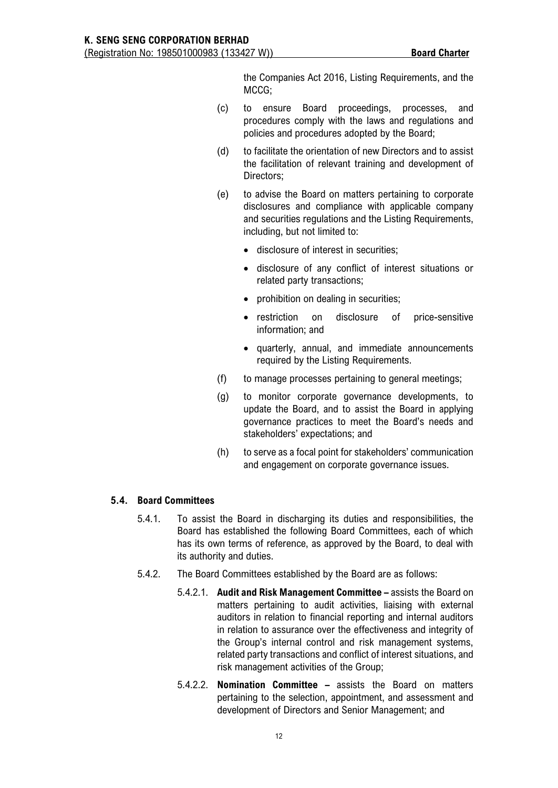the Companies Act 2016, Listing Requirements, and the MCCG;

- (c) to ensure Board proceedings, processes, and procedures comply with the laws and regulations and policies and procedures adopted by the Board;
- (d) to facilitate the orientation of new Directors and to assist the facilitation of relevant training and development of Directors;
- (e) to advise the Board on matters pertaining to corporate disclosures and compliance with applicable company and securities regulations and the Listing Requirements, including, but not limited to:
	- disclosure of interest in securities;
	- disclosure of any conflict of interest situations or related party transactions;
	- prohibition on dealing in securities;
	- restriction on disclosure of price-sensitive information; and
	- quarterly, annual, and immediate announcements required by the Listing Requirements.
- (f) to manage processes pertaining to general meetings;
- (g) to monitor corporate governance developments, to update the Board, and to assist the Board in applying governance practices to meet the Board's needs and stakeholders' expectations; and
- (h) to serve as a focal point for stakeholders' communication and engagement on corporate governance issues.

# **5.4. Board Committees**

- 5.4.1. To assist the Board in discharging its duties and responsibilities, the Board has established the following Board Committees, each of which has its own terms of reference, as approved by the Board, to deal with its authority and duties.
- 5.4.2. The Board Committees established by the Board are as follows:
	- 5.4.2.1. **Audit and Risk Management Committee –** assists the Board on matters pertaining to audit activities, liaising with external auditors in relation to financial reporting and internal auditors in relation to assurance over the effectiveness and integrity of the Group's internal control and risk management systems, related party transactions and conflict of interest situations, and risk management activities of the Group;
	- 5.4.2.2. **Nomination Committee –** assists the Board on matters pertaining to the selection, appointment, and assessment and development of Directors and Senior Management; and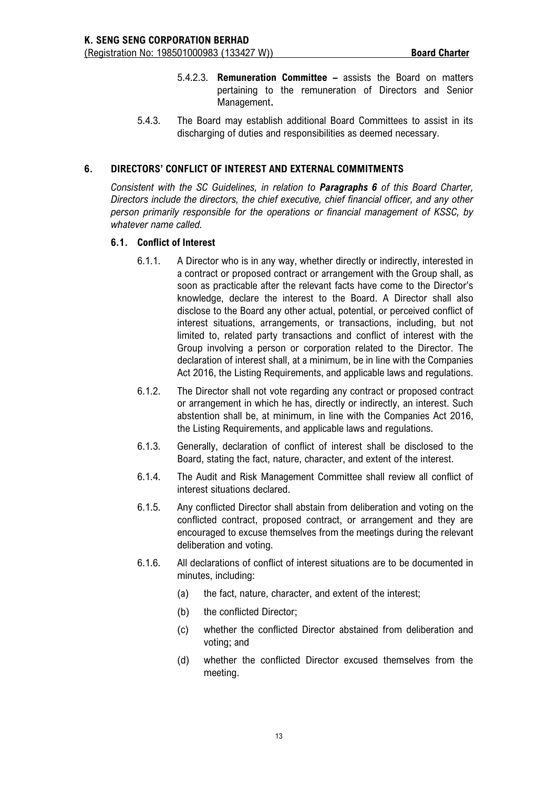- 5.4.2.3. **Remuneration Committee –** assists the Board on matters pertaining to the remuneration of Directors and Senior Management**.**
- 5.4.3. The Board may establish additional Board Committees to assist in its discharging of duties and responsibilities as deemed necessary.

# **6. DIRECTORS' CONFLICT OF INTEREST AND EXTERNAL COMMITMENTS**

*Consistent with the SC Guidelines, in relation to Paragraphs 6 of this Board Charter, Directors include the directors, the chief executive, chief financial officer, and any other person primarily responsible for the operations or financial management of KSSC, by whatever name called.*

## **6.1. Conflict of Interest**

- 6.1.1. A Director who is in any way, whether directly or indirectly, interested in a contract or proposed contract or arrangement with the Group shall, as soon as practicable after the relevant facts have come to the Director's knowledge, declare the interest to the Board. A Director shall also disclose to the Board any other actual, potential, or perceived conflict of interest situations, arrangements, or transactions, including, but not limited to, related party transactions and conflict of interest with the Group involving a person or corporation related to the Director. The declaration of interest shall, at a minimum, be in line with the Companies Act 2016, the Listing Requirements, and applicable laws and regulations.
- 6.1.2. The Director shall not vote regarding any contract or proposed contract or arrangement in which he has, directly or indirectly, an interest. Such abstention shall be, at minimum, in line with the Companies Act 2016, the Listing Requirements, and applicable laws and regulations.
- 6.1.3. Generally, declaration of conflict of interest shall be disclosed to the Board, stating the fact, nature, character, and extent of the interest.
- 6.1.4. The Audit and Risk Management Committee shall review all conflict of interest situations declared.
- 6.1.5. Any conflicted Director shall abstain from deliberation and voting on the conflicted contract, proposed contract, or arrangement and they are encouraged to excuse themselves from the meetings during the relevant deliberation and voting.
- 6.1.6. All declarations of conflict of interest situations are to be documented in minutes, including:
	- (a) the fact, nature, character, and extent of the interest;
	- (b) the conflicted Director;
	- (c) whether the conflicted Director abstained from deliberation and voting; and
	- (d) whether the conflicted Director excused themselves from the meeting.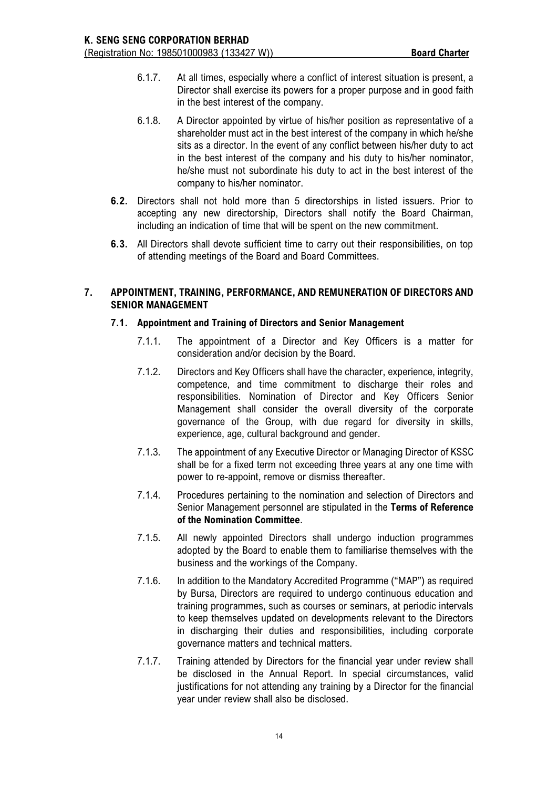- 6.1.7. At all times, especially where a conflict of interest situation is present, a Director shall exercise its powers for a proper purpose and in good faith in the best interest of the company.
- 6.1.8. A Director appointed by virtue of his/her position as representative of a shareholder must act in the best interest of the company in which he/she sits as a director. In the event of any conflict between his/her duty to act in the best interest of the company and his duty to his/her nominator, he/she must not subordinate his duty to act in the best interest of the company to his/her nominator.
- **6.2.** Directors shall not hold more than 5 directorships in listed issuers. Prior to accepting any new directorship, Directors shall notify the Board Chairman, including an indication of time that will be spent on the new commitment.
- **6.3.** All Directors shall devote sufficient time to carry out their responsibilities, on top of attending meetings of the Board and Board Committees.

# **7. APPOINTMENT, TRAINING, PERFORMANCE, AND REMUNERATION OF DIRECTORS AND SENIOR MANAGEMENT**

# **7.1. Appointment and Training of Directors and Senior Management**

- 7.1.1. The appointment of a Director and Key Officers is a matter for consideration and/or decision by the Board.
- 7.1.2. Directors and Key Officers shall have the character, experience, integrity, competence, and time commitment to discharge their roles and responsibilities. Nomination of Director and Key Officers Senior Management shall consider the overall diversity of the corporate governance of the Group, with due regard for diversity in skills, experience, age, cultural background and gender.
- 7.1.3. The appointment of any Executive Director or Managing Director of KSSC shall be for a fixed term not exceeding three years at any one time with power to re-appoint, remove or dismiss thereafter.
- 7.1.4. Procedures pertaining to the nomination and selection of Directors and Senior Management personnel are stipulated in the **Terms of Reference of the Nomination Committee**.
- 7.1.5. All newly appointed Directors shall undergo induction programmes adopted by the Board to enable them to familiarise themselves with the business and the workings of the Company.
- 7.1.6. In addition to the Mandatory Accredited Programme ("MAP") as required by Bursa, Directors are required to undergo continuous education and training programmes, such as courses or seminars, at periodic intervals to keep themselves updated on developments relevant to the Directors in discharging their duties and responsibilities, including corporate governance matters and technical matters.
- 7.1.7. Training attended by Directors for the financial year under review shall be disclosed in the Annual Report. In special circumstances, valid justifications for not attending any training by a Director for the financial year under review shall also be disclosed.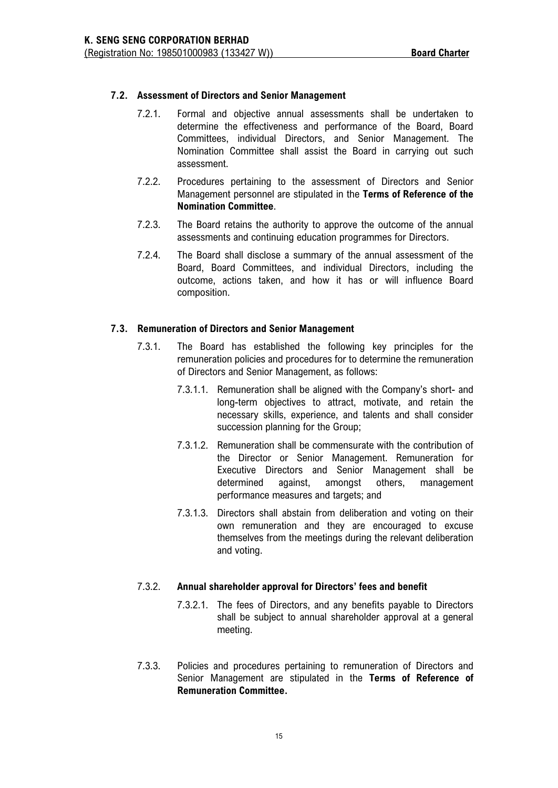# **7.2. Assessment of Directors and Senior Management**

- 7.2.1. Formal and objective annual assessments shall be undertaken to determine the effectiveness and performance of the Board, Board Committees, individual Directors, and Senior Management. The Nomination Committee shall assist the Board in carrying out such assessment.
- 7.2.2. Procedures pertaining to the assessment of Directors and Senior Management personnel are stipulated in the **Terms of Reference of the Nomination Committee**.
- 7.2.3. The Board retains the authority to approve the outcome of the annual assessments and continuing education programmes for Directors.
- 7.2.4. The Board shall disclose a summary of the annual assessment of the Board, Board Committees, and individual Directors, including the outcome, actions taken, and how it has or will influence Board composition.

### **7.3. Remuneration of Directors and Senior Management**

- 7.3.1. The Board has established the following key principles for the remuneration policies and procedures for to determine the remuneration of Directors and Senior Management, as follows:
	- 7.3.1.1. Remuneration shall be aligned with the Company's short- and long-term objectives to attract, motivate, and retain the necessary skills, experience, and talents and shall consider succession planning for the Group;
	- 7.3.1.2. Remuneration shall be commensurate with the contribution of the Director or Senior Management. Remuneration for Executive Directors and Senior Management shall be determined against, amongst others, management performance measures and targets; and
	- 7.3.1.3. Directors shall abstain from deliberation and voting on their own remuneration and they are encouraged to excuse themselves from the meetings during the relevant deliberation and voting.

### 7.3.2. **Annual shareholder approval for Directors' fees and benefit**

- 7.3.2.1. The fees of Directors, and any benefits payable to Directors shall be subject to annual shareholder approval at a general meeting.
- 7.3.3. Policies and procedures pertaining to remuneration of Directors and Senior Management are stipulated in the **Terms of Reference of Remuneration Committee.**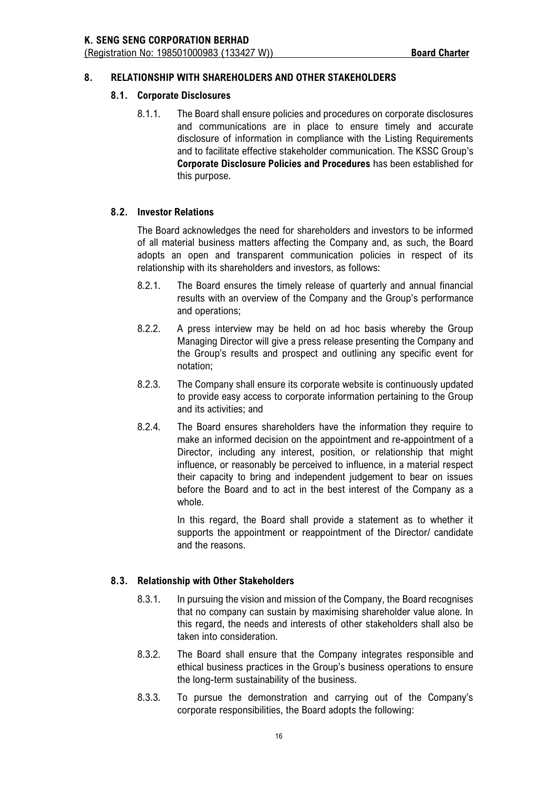# **8. RELATIONSHIP WITH SHAREHOLDERS AND OTHER STAKEHOLDERS**

# **8.1. Corporate Disclosures**

8.1.1. The Board shall ensure policies and procedures on corporate disclosures and communications are in place to ensure timely and accurate disclosure of information in compliance with the Listing Requirements and to facilitate effective stakeholder communication. The KSSC Group's **Corporate Disclosure Policies and Procedures** has been established for this purpose.

# **8.2. Investor Relations**

The Board acknowledges the need for shareholders and investors to be informed of all material business matters affecting the Company and, as such, the Board adopts an open and transparent communication policies in respect of its relationship with its shareholders and investors, as follows:

- 8.2.1. The Board ensures the timely release of quarterly and annual financial results with an overview of the Company and the Group's performance and operations;
- 8.2.2. A press interview may be held on ad hoc basis whereby the Group Managing Director will give a press release presenting the Company and the Group's results and prospect and outlining any specific event for notation;
- 8.2.3. The Company shall ensure its corporate website is continuously updated to provide easy access to corporate information pertaining to the Group and its activities; and
- 8.2.4. The Board ensures shareholders have the information they require to make an informed decision on the appointment and re-appointment of a Director, including any interest, position, or relationship that might influence, or reasonably be perceived to influence, in a material respect their capacity to bring and independent judgement to bear on issues before the Board and to act in the best interest of the Company as a whole.

In this regard, the Board shall provide a statement as to whether it supports the appointment or reappointment of the Director/ candidate and the reasons.

### **8.3. Relationship with Other Stakeholders**

- 8.3.1. In pursuing the vision and mission of the Company, the Board recognises that no company can sustain by maximising shareholder value alone. In this regard, the needs and interests of other stakeholders shall also be taken into consideration.
- 8.3.2. The Board shall ensure that the Company integrates responsible and ethical business practices in the Group's business operations to ensure the long-term sustainability of the business.
- 8.3.3. To pursue the demonstration and carrying out of the Company's corporate responsibilities, the Board adopts the following: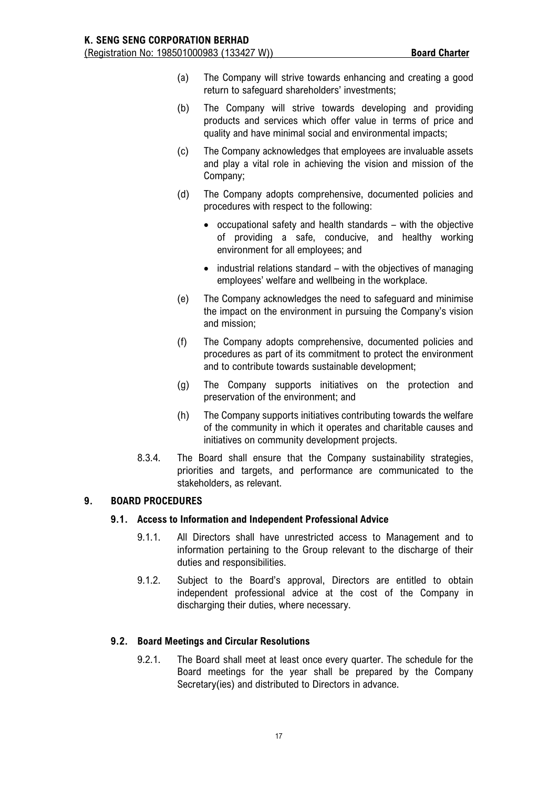- (a) The Company will strive towards enhancing and creating a good return to safeguard shareholders' investments;
- (b) The Company will strive towards developing and providing products and services which offer value in terms of price and quality and have minimal social and environmental impacts;
- (c) The Company acknowledges that employees are invaluable assets and play a vital role in achieving the vision and mission of the Company;
- (d) The Company adopts comprehensive, documented policies and procedures with respect to the following:
	- occupational safety and health standards with the objective of providing a safe, conducive, and healthy working environment for all employees; and
	- industrial relations standard with the objectives of managing employees' welfare and wellbeing in the workplace.
- (e) The Company acknowledges the need to safeguard and minimise the impact on the environment in pursuing the Company's vision and mission;
- (f) The Company adopts comprehensive, documented policies and procedures as part of its commitment to protect the environment and to contribute towards sustainable development;
- (g) The Company supports initiatives on the protection and preservation of the environment; and
- (h) The Company supports initiatives contributing towards the welfare of the community in which it operates and charitable causes and initiatives on community development projects.
- 8.3.4. The Board shall ensure that the Company sustainability strategies, priorities and targets, and performance are communicated to the stakeholders, as relevant.

# **9. BOARD PROCEDURES**

# **9.1. Access to Information and Independent Professional Advice**

- 9.1.1. All Directors shall have unrestricted access to Management and to information pertaining to the Group relevant to the discharge of their duties and responsibilities.
- 9.1.2. Subject to the Board's approval, Directors are entitled to obtain independent professional advice at the cost of the Company in discharging their duties, where necessary.

# **9.2. Board Meetings and Circular Resolutions**

9.2.1. The Board shall meet at least once every quarter. The schedule for the Board meetings for the year shall be prepared by the Company Secretary(ies) and distributed to Directors in advance.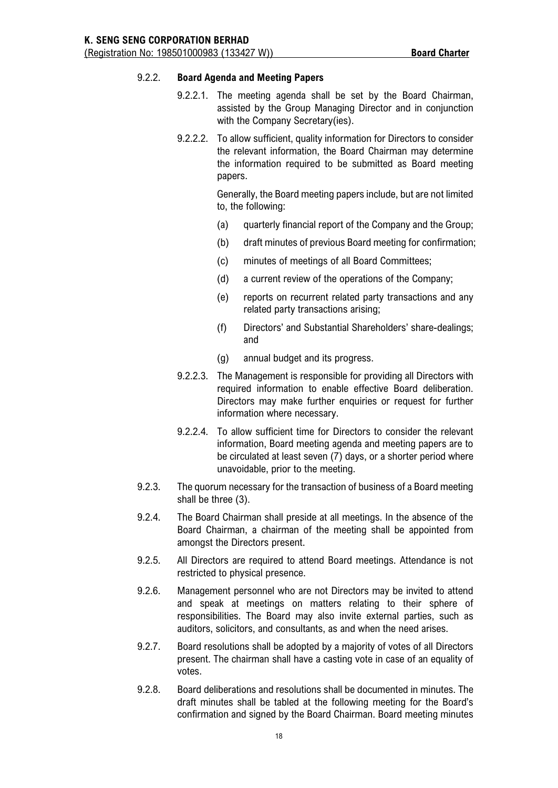# 9.2.2. **Board Agenda and Meeting Papers**

- 9.2.2.1. The meeting agenda shall be set by the Board Chairman, assisted by the Group Managing Director and in conjunction with the Company Secretary(ies).
- 9.2.2.2. To allow sufficient, quality information for Directors to consider the relevant information, the Board Chairman may determine the information required to be submitted as Board meeting papers.

Generally, the Board meeting papers include, but are not limited to, the following:

- (a) quarterly financial report of the Company and the Group;
- (b) draft minutes of previous Board meeting for confirmation;
- (c) minutes of meetings of all Board Committees;
- (d) a current review of the operations of the Company;
- (e) reports on recurrent related party transactions and any related party transactions arising;
- (f) Directors' and Substantial Shareholders' share-dealings; and
- (g) annual budget and its progress.
- 9.2.2.3. The Management is responsible for providing all Directors with required information to enable effective Board deliberation. Directors may make further enquiries or request for further information where necessary.
- 9.2.2.4. To allow sufficient time for Directors to consider the relevant information, Board meeting agenda and meeting papers are to be circulated at least seven (7) days, or a shorter period where unavoidable, prior to the meeting.
- 9.2.3. The quorum necessary for the transaction of business of a Board meeting shall be three (3).
- 9.2.4. The Board Chairman shall preside at all meetings. In the absence of the Board Chairman, a chairman of the meeting shall be appointed from amongst the Directors present.
- 9.2.5. All Directors are required to attend Board meetings. Attendance is not restricted to physical presence.
- 9.2.6. Management personnel who are not Directors may be invited to attend and speak at meetings on matters relating to their sphere of responsibilities. The Board may also invite external parties, such as auditors, solicitors, and consultants, as and when the need arises.
- 9.2.7. Board resolutions shall be adopted by a majority of votes of all Directors present. The chairman shall have a casting vote in case of an equality of votes.
- 9.2.8. Board deliberations and resolutions shall be documented in minutes. The draft minutes shall be tabled at the following meeting for the Board's confirmation and signed by the Board Chairman. Board meeting minutes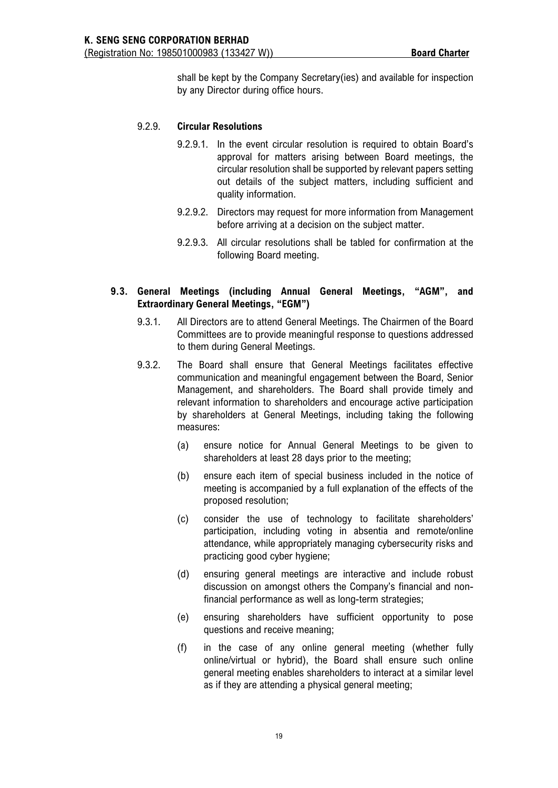shall be kept by the Company Secretary(ies) and available for inspection by any Director during office hours.

# 9.2.9. **Circular Resolutions**

- 9.2.9.1. In the event circular resolution is required to obtain Board's approval for matters arising between Board meetings, the circular resolution shall be supported by relevant papers setting out details of the subject matters, including sufficient and quality information.
- 9.2.9.2. Directors may request for more information from Management before arriving at a decision on the subject matter.
- 9.2.9.3. All circular resolutions shall be tabled for confirmation at the following Board meeting.

# **9.3. General Meetings (including Annual General Meetings, "AGM", and Extraordinary General Meetings, "EGM")**

- 9.3.1. All Directors are to attend General Meetings. The Chairmen of the Board Committees are to provide meaningful response to questions addressed to them during General Meetings.
- 9.3.2. The Board shall ensure that General Meetings facilitates effective communication and meaningful engagement between the Board, Senior Management, and shareholders. The Board shall provide timely and relevant information to shareholders and encourage active participation by shareholders at General Meetings, including taking the following measures:
	- (a) ensure notice for Annual General Meetings to be given to shareholders at least 28 days prior to the meeting;
	- (b) ensure each item of special business included in the notice of meeting is accompanied by a full explanation of the effects of the proposed resolution;
	- (c) consider the use of technology to facilitate shareholders' participation, including voting in absentia and remote/online attendance, while appropriately managing cybersecurity risks and practicing good cyber hygiene;
	- (d) ensuring general meetings are interactive and include robust discussion on amongst others the Company's financial and nonfinancial performance as well as long-term strategies;
	- (e) ensuring shareholders have sufficient opportunity to pose questions and receive meaning;
	- (f) in the case of any online general meeting (whether fully online/virtual or hybrid), the Board shall ensure such online general meeting enables shareholders to interact at a similar level as if they are attending a physical general meeting;